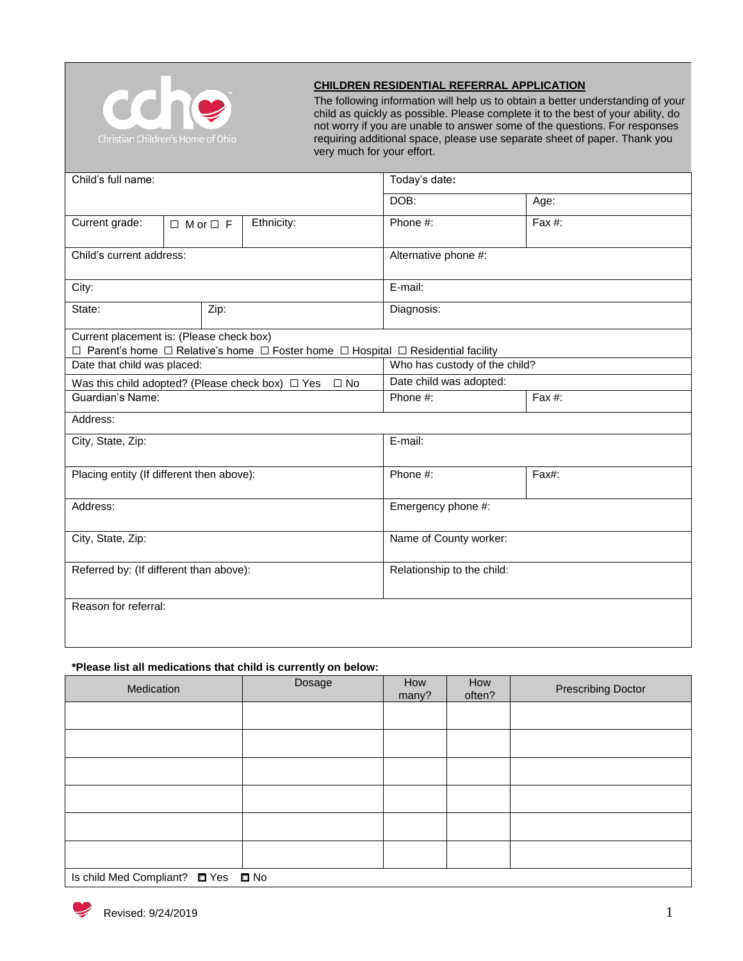

## **CHILDREN RESIDENTIAL REFERRAL APPLICATION**

The following information will help us to obtain a better understanding of your child as quickly as possible. Please complete it to the best of your ability, do not worry if you are unable to answer some of the questions. For responses requiring additional space, please use separate sheet of paper. Thank you very much for your effort.

| Child's full name:                        |                      |  |                                                                                   | Today's date:                 |           |  |
|-------------------------------------------|----------------------|--|-----------------------------------------------------------------------------------|-------------------------------|-----------|--|
|                                           |                      |  |                                                                                   | DOB:                          | Age:      |  |
| Current grade:                            | $\Box$ M or $\Box$ F |  | Ethnicity:                                                                        | Phone #:                      | Fax $#$ : |  |
| Child's current address:                  |                      |  |                                                                                   | Alternative phone #:          |           |  |
| City:                                     |                      |  |                                                                                   | E-mail:                       |           |  |
| State:                                    | Zip:                 |  |                                                                                   | Diagnosis:                    |           |  |
| Current placement is: (Please check box)  |                      |  | □ Parent's home □ Relative's home □ Foster home □ Hospital □ Residential facility |                               |           |  |
| Date that child was placed:               |                      |  |                                                                                   | Who has custody of the child? |           |  |
|                                           |                      |  | Was this child adopted? (Please check box) $\Box$ Yes $\Box$ No                   | Date child was adopted:       |           |  |
| Guardian's Name:                          |                      |  |                                                                                   | Phone #:                      | Fax $#$ : |  |
| Address:                                  |                      |  |                                                                                   |                               |           |  |
| City, State, Zip:                         |                      |  |                                                                                   | E-mail:                       |           |  |
| Placing entity (If different then above): |                      |  |                                                                                   | Phone #:                      | Fax#:     |  |
| Address:                                  |                      |  |                                                                                   | Emergency phone #:            |           |  |
| City, State, Zip:                         |                      |  |                                                                                   | Name of County worker:        |           |  |
| Referred by: (If different than above):   |                      |  |                                                                                   | Relationship to the child:    |           |  |
| Reason for referral:                      |                      |  |                                                                                   |                               |           |  |

## **\*Please list all medications that child is currently on below:**

| Medication                         | Dosage | How<br>many? | How<br>often? | <b>Prescribing Doctor</b> |  |
|------------------------------------|--------|--------------|---------------|---------------------------|--|
|                                    |        |              |               |                           |  |
|                                    |        |              |               |                           |  |
|                                    |        |              |               |                           |  |
|                                    |        |              |               |                           |  |
|                                    |        |              |               |                           |  |
|                                    |        |              |               |                           |  |
| Is child Med Compliant? □ Yes □ No |        |              |               |                           |  |

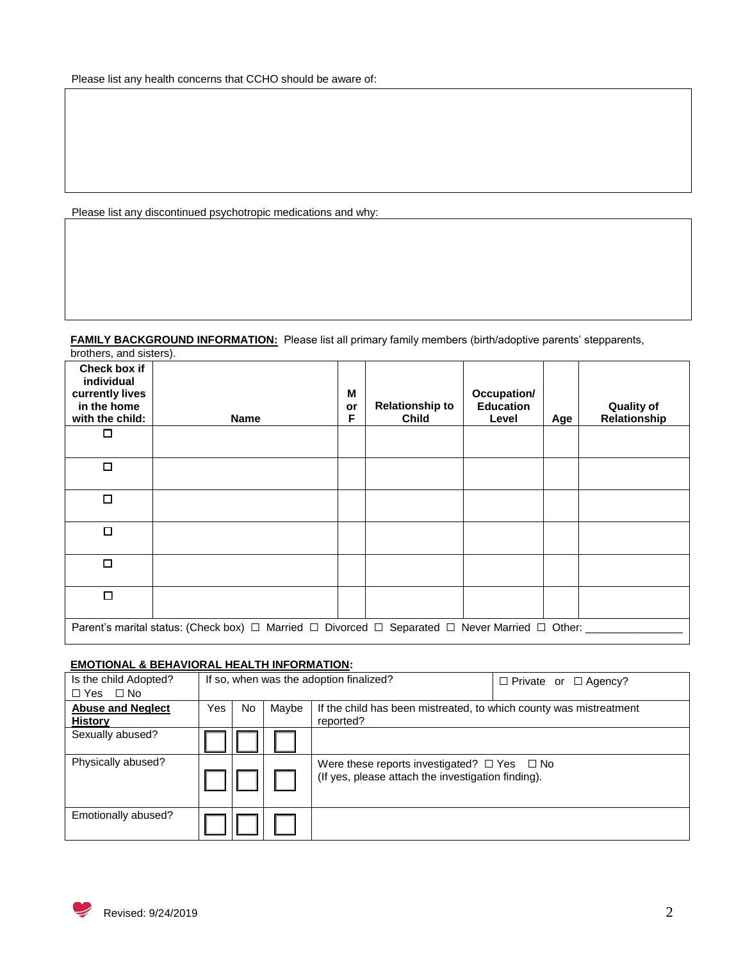Please list any discontinued psychotropic medications and why:

#### **FAMILY BACKGROUND INFORMATION:** Please list all primary family members (birth/adoptive parents' stepparents, brothers, and sisters).

| Check box if<br>individual<br>currently lives<br>in the home<br>with the child:<br>□ | <b>Name</b>                                                                                                             | M<br>or<br>F | <b>Relationship to</b><br><b>Child</b> | Occupation/<br><b>Education</b><br>Level | Age | <b>Quality of</b><br>Relationship |
|--------------------------------------------------------------------------------------|-------------------------------------------------------------------------------------------------------------------------|--------------|----------------------------------------|------------------------------------------|-----|-----------------------------------|
| $\Box$                                                                               |                                                                                                                         |              |                                        |                                          |     |                                   |
| □                                                                                    |                                                                                                                         |              |                                        |                                          |     |                                   |
| □                                                                                    |                                                                                                                         |              |                                        |                                          |     |                                   |
| □                                                                                    |                                                                                                                         |              |                                        |                                          |     |                                   |
| $\Box$                                                                               |                                                                                                                         |              |                                        |                                          |     |                                   |
|                                                                                      | Parent's marital status: (Check box) $\Box$ Married $\Box$ Divorced $\Box$ Separated $\Box$ Never Married $\Box$ Other: |              |                                        |                                          |     |                                   |

## **EMOTIONAL & BEHAVIORAL HEALTH INFORMATION:**

| Is the child Adopted?<br>$\Box$ Yes $\Box$ No | If so, when was the adoption finalized? |    |       |                                                                                                             | $\Box$ Private or $\Box$ Agency? |
|-----------------------------------------------|-----------------------------------------|----|-------|-------------------------------------------------------------------------------------------------------------|----------------------------------|
| <b>Abuse and Neglect</b><br><b>History</b>    | Yes                                     | No | Maybe | If the child has been mistreated, to which county was mistreatment<br>reported?                             |                                  |
| Sexually abused?                              |                                         |    |       |                                                                                                             |                                  |
| Physically abused?                            |                                         |    |       | Were these reports investigated? $\Box$ Yes $\Box$ No<br>(If yes, please attach the investigation finding). |                                  |
| Emotionally abused?                           |                                         |    |       |                                                                                                             |                                  |

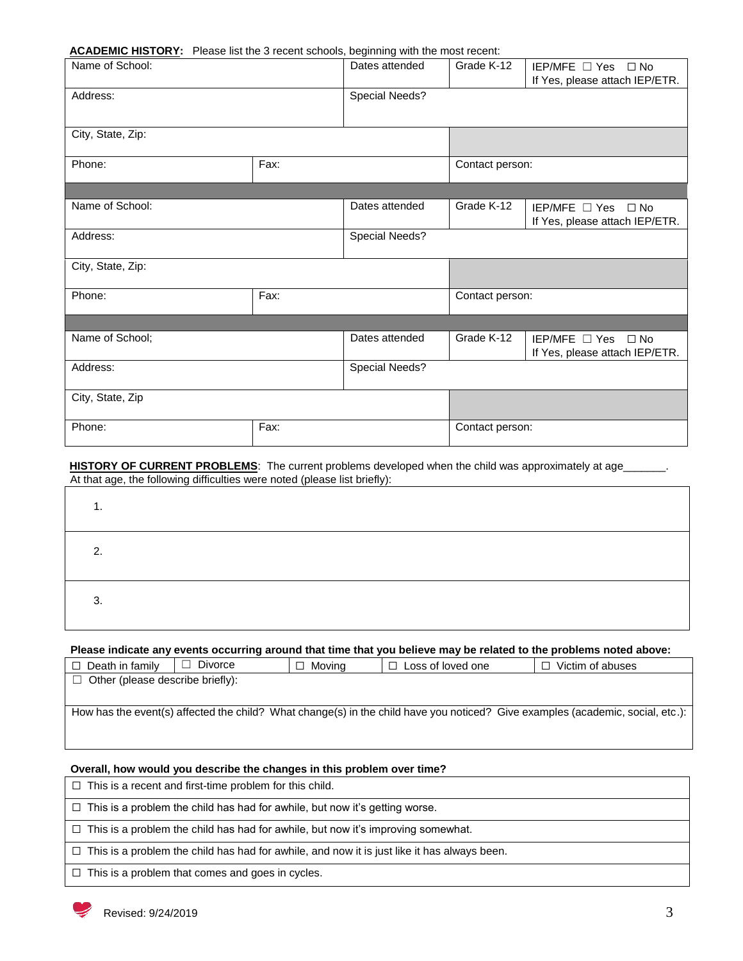#### **ACADEMIC HISTORY:** Please list the 3 recent schools, beginning with the most recent:

| <b>Example 1980</b> Today and a resource on some suggesting that are most recent. |                |                |                 |                                                                |
|-----------------------------------------------------------------------------------|----------------|----------------|-----------------|----------------------------------------------------------------|
| Name of School:                                                                   |                | Dates attended | Grade K-12      | IEP/MFE □ Yes □ No<br>If Yes, please attach IEP/ETR.           |
| Address:                                                                          | Special Needs? |                |                 |                                                                |
| City, State, Zip:                                                                 |                |                |                 |                                                                |
| Phone:                                                                            | Fax:           |                | Contact person: |                                                                |
|                                                                                   |                |                |                 |                                                                |
| Name of School:                                                                   |                | Dates attended | Grade K-12      | IEP/MFE □ Yes □ No<br>If Yes, please attach IEP/ETR.           |
| Address:                                                                          |                | Special Needs? |                 |                                                                |
| City, State, Zip:                                                                 |                |                |                 |                                                                |
| Phone:                                                                            | Fax:           |                | Contact person: |                                                                |
|                                                                                   |                |                |                 |                                                                |
| Name of School;                                                                   |                | Dates attended | Grade K-12      | IEP/MFE $\Box$ Yes $\Box$ No<br>If Yes, please attach IEP/ETR. |
| Address:                                                                          |                | Special Needs? |                 |                                                                |
| City, State, Zip                                                                  |                |                |                 |                                                                |
| Phone:                                                                            | Fax:           |                | Contact person: |                                                                |

#### HISTORY OF CURRENT PROBLEMS: The current problems developed when the child was approximately at age\_\_\_\_\_\_\_. At that age, the following difficulties were noted (please list briefly):

| . .    |  |  |  |
|--------|--|--|--|
| ົ      |  |  |  |
| ◠<br>ັ |  |  |  |

#### **Please indicate any events occurring around that time that you believe may be related to the problems noted above:**

| $\Box$ Death in family                  | Divorce | $\Box$ Moving | $\Box$ Loss of loved one | Victim of abuses                                                                                                               |
|-----------------------------------------|---------|---------------|--------------------------|--------------------------------------------------------------------------------------------------------------------------------|
| $\Box$ Other (please describe briefly): |         |               |                          |                                                                                                                                |
|                                         |         |               |                          |                                                                                                                                |
|                                         |         |               |                          | How has the event(s) affected the child? What change(s) in the child have you noticed? Give examples (academic, social, etc.): |
|                                         |         |               |                          |                                                                                                                                |
|                                         |         |               |                          |                                                                                                                                |
|                                         |         |               |                          |                                                                                                                                |

## **Overall, how would you describe the changes in this problem over time?**

☐ This is a recent and first-time problem for this child.

☐ This is a problem the child has had for awhile, but now it's getting worse.

☐ This is a problem the child has had for awhile, but now it's improving somewhat.

 $\Box$  This is a problem the child has had for awhile, and now it is just like it has always been.

 $\Box$  This is a problem that comes and goes in cycles.

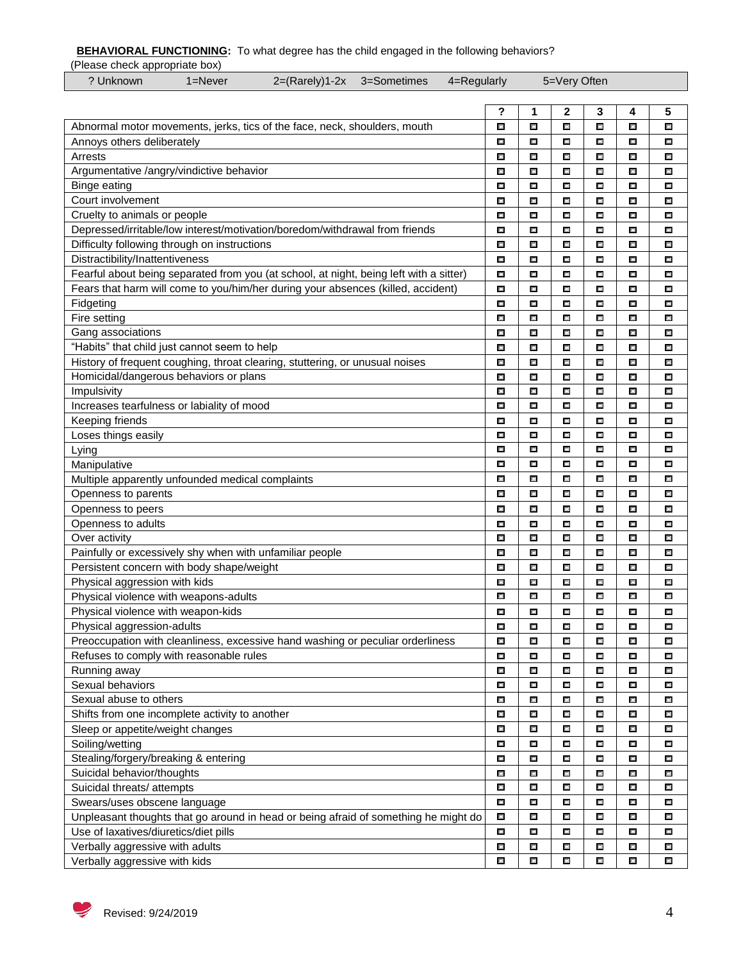**BEHAVIORAL FUNCTIONING:** To what degree has the child engaged in the following behaviors?

(Please check appropriate box)<br>
2 Unknown 1=Never

| .<br>? Unknown<br>2=(Rarely)1-2x 3=Sometimes<br>1=Never                                | 4=Regularly |        | 5=Very Often |        |        |        |
|----------------------------------------------------------------------------------------|-------------|--------|--------------|--------|--------|--------|
|                                                                                        |             |        |              |        |        |        |
|                                                                                        | ?<br>П      | 1      | 2<br>Ξ       | 3<br>口 | 4      | 5<br>D |
| Abnormal motor movements, jerks, tics of the face, neck, shoulders, mouth              |             | Е      |              |        | П      |        |
| Annoys others deliberately                                                             | П           | n      | ш            | $\Box$ | O      | n      |
| Arrests                                                                                | П           | П      | ш            | D      | П      | Ū      |
| Argumentative /angry/vindictive behavior                                               | П           | П      | Π            | $\Box$ | П      | n      |
| <b>Binge eating</b>                                                                    | П           | П      | ш            | $\Box$ | П      | D      |
| Court involvement                                                                      | П           | U      | n            | D      | n      | U      |
| Cruelty to animals or people                                                           | П           | П      | Π            | 口      | П      | D      |
| Depressed/irritable/low interest/motivation/boredom/withdrawal from friends            | П           | П      | n            | Д      | П      | П      |
| Difficulty following through on instructions                                           | П           | П      | П            | 口      | П      | П      |
| Distractibility/Inattentiveness                                                        | П           | П      | П            | 口      | П      | U,     |
| Fearful about being separated from you (at school, at night, being left with a sitter) | П           | П      | Π            | D      | 口      | n      |
| Fears that harm will come to you/him/her during your absences (killed, accident)       | П           | п      | Π            | U      | П      | U      |
| Fidgeting                                                                              | П           | n      | 口            | U      | n      | n      |
| Fire setting                                                                           | П           | П      | Π            | D      | 口      | n      |
| Gang associations                                                                      | Ľ           | U      | 口            | n      | 戸      | n      |
| "Habits" that child just cannot seem to help                                           | n           | П      | ш            | $\Box$ | 口      | П      |
| History of frequent coughing, throat clearing, stuttering, or unusual noises           | П           | U      | 口            | U      | 戸      | U      |
| Homicidal/dangerous behaviors or plans                                                 | П           | Ţ      | 口            | U      | n      | U      |
| Impulsivity                                                                            | П           | n      | 口            | U      | n      | n      |
| Increases tearfulness or labiality of mood                                             | П           | п      | ш            | U      | П      | n.     |
| Keeping friends                                                                        | П           | П      | П            | П      | П      | П      |
| Loses things easily                                                                    | Ū.          | П      | П            | П      | 口      | П      |
| Lying                                                                                  | П           | П      | п            | U      | 口      | n      |
| Manipulative                                                                           | n.          | I.     | п            | n      | U      | n      |
| Multiple apparently unfounded medical complaints                                       | П           | П      | П            | Д      | П      | П      |
| Openness to parents                                                                    | П           | П      | П            | Д      | П      | П      |
| Openness to peers                                                                      | n           | n      | П            | о      | U      | ш      |
| Openness to adults                                                                     | U           | n      | n            | о      | U      | ш      |
| Over activity                                                                          | П           | п      | ш            | П      | п      | ш      |
| Painfully or excessively shy when with unfamiliar people                               | n.          | n      | П            | П      | Ľ      | ш      |
| Persistent concern with body shape/weight                                              | П           | П      | п            | п      | ш      | о      |
| Physical aggression with kids                                                          | П           | П      | Ľ            | Ξ      | П      | п      |
| Physical violence with weapons-adults                                                  | П           | П      | П            | П      | Ū.     | П      |
| Physical violence with weapon-kids                                                     | U           | n.     | ш            | ш      | U      | ш      |
| Physical aggression-adults                                                             | П           | E.     | П            | П      | Ū,     | п      |
| Preoccupation with cleanliness, excessive hand washing or peculiar orderliness         | $\Box$      | $\Box$ | I.           | $\Box$ | П      | П      |
| Refuses to comply with reasonable rules                                                | П           | $\Box$ | $\Box$       | $\Box$ | П      | П      |
| Running away                                                                           | П           | П      | П            | П      | П      | П      |
| Sexual behaviors                                                                       | П           | П      | П            | П      | П      | П      |
| Sexual abuse to others                                                                 | П           | П      | п            | П      | П      | П      |
| Shifts from one incomplete activity to another                                         | П           | П      | П            | П      | П      | П      |
| Sleep or appetite/weight changes                                                       | n.          | Ū.     | П            | П      | U      | П      |
| Soiling/wetting                                                                        | П           | Ū.     | П            | П      | U      | П      |
| Stealing/forgery/breaking & entering                                                   | П           | П      | П            | Д      | П      | П      |
| Suicidal behavior/thoughts                                                             |             |        |              |        |        |        |
|                                                                                        | П           | n      | $\Box$       | П      | L.     | П      |
| Suicidal threats/ attempts                                                             | Ū.          | U      | П            | П      | П      | П      |
| Swears/uses obscene language                                                           | n           | n      | n            | П      | U      | ш      |
| Unpleasant thoughts that go around in head or being afraid of something he might do    | Ū.          | Ū.     | П            | П      | Ū.     | п      |
| Use of laxatives/diuretics/diet pills                                                  | П           | n      | П            | П      | U      | n      |
| Verbally aggressive with adults                                                        | $\Box$      | $\Box$ | п            | П      | П      | п      |
| Verbally aggressive with kids                                                          | $\Box$      | $\Box$ | $\Box$       | $\Box$ | $\Box$ | П      |

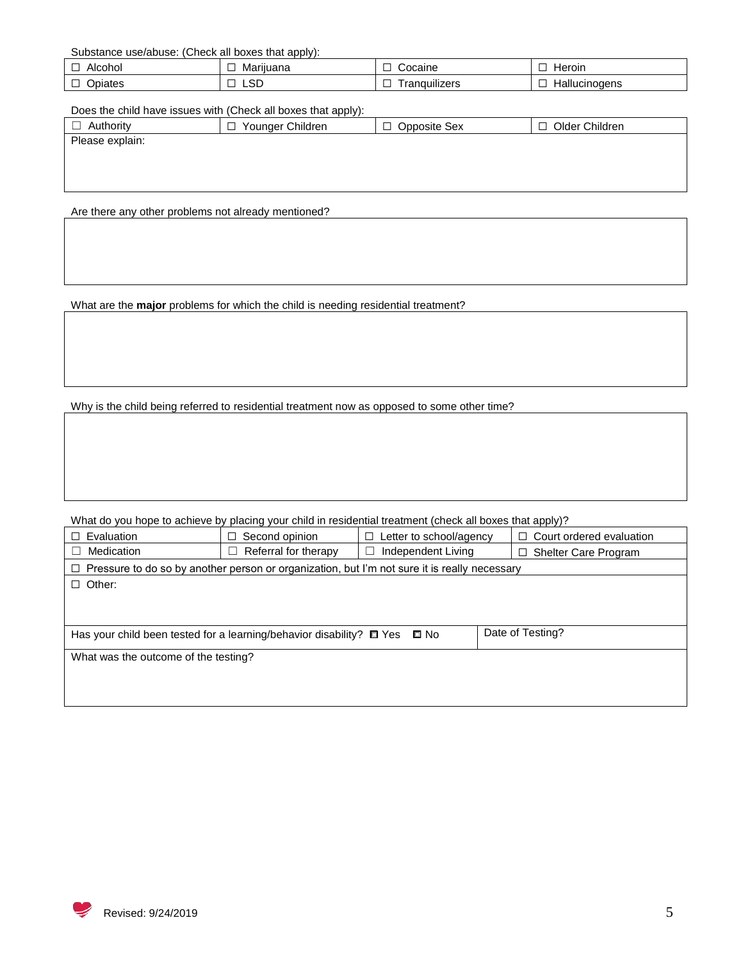Substance use/abuse: (Check all boxes that apply):

|                  |                           | pcaine                                 | Heroin             |
|------------------|---------------------------|----------------------------------------|--------------------|
| AK               | W۱.                       |                                        | . . <del>. .</del> |
| ונזרונז:         | ાતાાં ત                   |                                        |                    |
| –<br>. Inic<br>_ | $\cap$<br>ى <i>ت</i><br>_ | $\cdots$<br>.<br>5.03<br>uılızers<br>_ | oaens              |

Does the child have issues with (Check all boxes that apply):

| Authority       | Younger Children<br>□ | Opposite Sex | Older Children<br>□ |
|-----------------|-----------------------|--------------|---------------------|
| Please explain: |                       |              |                     |
|                 |                       |              |                     |
|                 |                       |              |                     |
|                 |                       |              |                     |
|                 |                       |              |                     |

Are there any other problems not already mentioned?

What are the **major** problems for which the child is needing residential treatment?

Why is the child being referred to residential treatment now as opposed to some other time?

What do you hope to achieve by placing your child in residential treatment (check all boxes that apply)?

| Evaluation                                                                                          | Second opinion<br>□.      | Letter to school/agency<br>□ | Court ordered evaluation<br>П.   |  |  |  |
|-----------------------------------------------------------------------------------------------------|---------------------------|------------------------------|----------------------------------|--|--|--|
| Medication                                                                                          | Referral for therapy<br>ш | Independent Living<br>L      | <b>Shelter Care Program</b><br>□ |  |  |  |
| $\Box$ Pressure to do so by another person or organization, but I'm not sure it is really necessary |                           |                              |                                  |  |  |  |
| $\Box$ Other:                                                                                       |                           |                              |                                  |  |  |  |
|                                                                                                     |                           |                              |                                  |  |  |  |
|                                                                                                     |                           |                              |                                  |  |  |  |
| Has your child been tested for a learning/behavior disability? $\Box$ Yes                           | l No                      | Date of Testing?             |                                  |  |  |  |
| What was the outcome of the testing?                                                                |                           |                              |                                  |  |  |  |
|                                                                                                     |                           |                              |                                  |  |  |  |
|                                                                                                     |                           |                              |                                  |  |  |  |

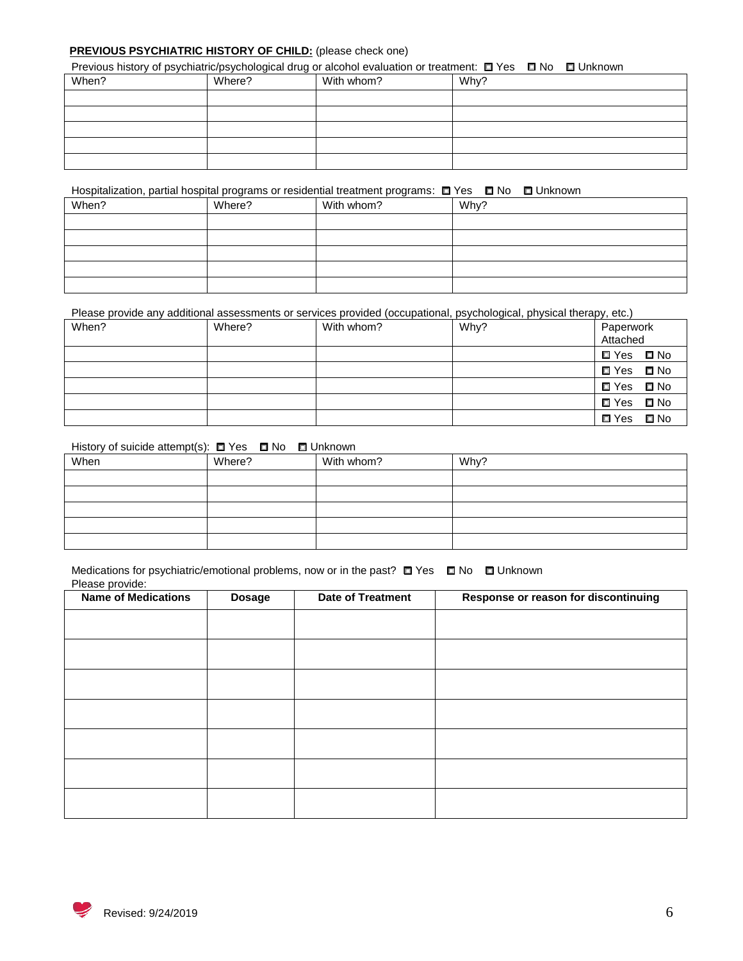## **PREVIOUS PSYCHIATRIC HISTORY OF CHILD:** (please check one)

| Previous history of psychiatric/psychological drug or alcohol evaluation or treatment: □ Yes □ No □ Unknown |        |            |      |  |  |
|-------------------------------------------------------------------------------------------------------------|--------|------------|------|--|--|
| When?                                                                                                       | Where? | With whom? | Why? |  |  |
|                                                                                                             |        |            |      |  |  |
|                                                                                                             |        |            |      |  |  |
|                                                                                                             |        |            |      |  |  |
|                                                                                                             |        |            |      |  |  |
|                                                                                                             |        |            |      |  |  |

## Hospitalization, partial hospital programs or residential treatment programs: □ Yes □ No □ Unknown

| When? | Where? | With whom? | Why? |
|-------|--------|------------|------|
|       |        |            |      |
|       |        |            |      |
|       |        |            |      |
|       |        |            |      |
|       |        |            |      |

#### Please provide any additional assessments or services provided (occupational, psychological, physical therapy, etc.)

| When? | Where? | With whom? | Why? | Paperwork<br>Attached |  |
|-------|--------|------------|------|-----------------------|--|
|       |        |            |      | <b>□</b> Yes □ No     |  |
|       |        |            |      | <b>□</b> Yes ■ No     |  |
|       |        |            |      | <b>□</b> Yes □ No     |  |
|       |        |            |      | <b>□</b> Yes □ No     |  |
|       |        |            |      | <b>□</b> Yes □ No     |  |

## History of suicide attempt(s): □ Yes □ No □ Unknown

| When | Where? | With whom? | Why? |
|------|--------|------------|------|
|      |        |            |      |
|      |        |            |      |
|      |        |            |      |
|      |        |            |      |
|      |        |            |      |

#### Medications for psychiatric/emotional problems, now or in the past? □ Yes □ No □ Unknown Please provide:

| .<br><b>Name of Medications</b> | <b>Dosage</b> | <b>Date of Treatment</b> | Response or reason for discontinuing |
|---------------------------------|---------------|--------------------------|--------------------------------------|
|                                 |               |                          |                                      |
|                                 |               |                          |                                      |
|                                 |               |                          |                                      |
|                                 |               |                          |                                      |
|                                 |               |                          |                                      |
|                                 |               |                          |                                      |
|                                 |               |                          |                                      |
|                                 |               |                          |                                      |
|                                 |               |                          |                                      |
|                                 |               |                          |                                      |